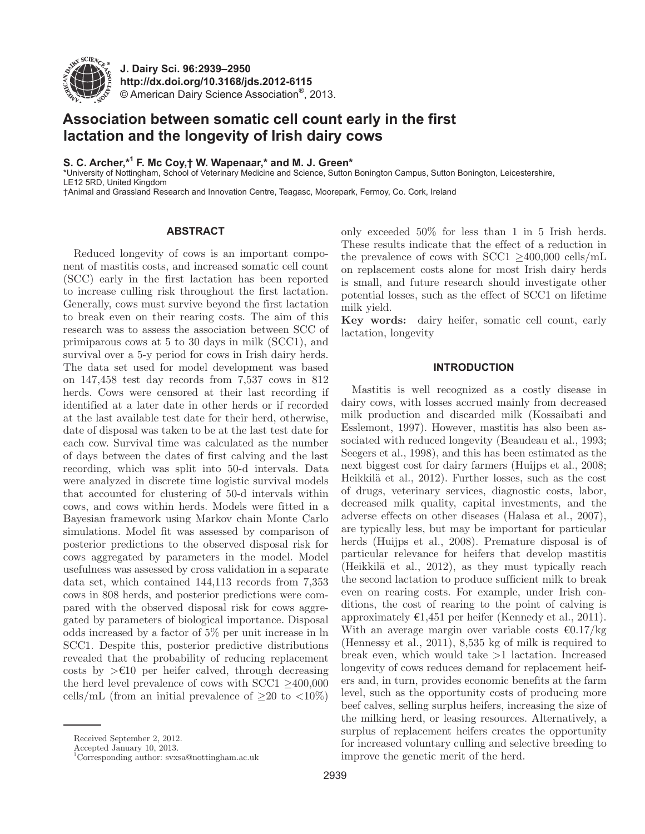

**J. Dairy Sci. 96 :2939–2950 http://dx.doi.org/ 10.3168/jds.2012-6115**  © American Dairy Science Association®, 2013 .

# **Association between somatic cell count early in the first lactation and the longevity of Irish dairy cows**

# **S. C. Archer ,\*1 F. Mc Coy ,† W. Wapenaar ,\* and M. J. Green \***

\* University of Nottingham, School of Veterinary Medicine and Science, Sutton Bonington Campus, Sutton Bonington, Leicestershire, LE12 5RD, United Kingdom

† Animal and Grassland Research and Innovation Centre, Teagasc, Moorepark, Fermoy, Co. Cork, Ireland

# **ABSTRACT**

Reduced longevity of cows is an important component of mastitis costs, and increased somatic cell count (SCC) early in the first lactation has been reported to increase culling risk throughout the first lactation. Generally, cows must survive beyond the first lactation to break even on their rearing costs. The aim of this research was to assess the association between SCC of primiparous cows at 5 to 30 days in milk (SCC1), and survival over a 5-y period for cows in Irish dairy herds. The data set used for model development was based on 147,458 test day records from 7,537 cows in 812 herds. Cows were censored at their last recording if identified at a later date in other herds or if recorded at the last available test date for their herd, otherwise, date of disposal was taken to be at the last test date for each cow. Survival time was calculated as the number of days between the dates of first calving and the last recording, which was split into 50-d intervals. Data were analyzed in discrete time logistic survival models that accounted for clustering of 50-d intervals within cows, and cows within herds. Models were fitted in a Bayesian framework using Markov chain Monte Carlo simulations. Model fit was assessed by comparison of posterior predictions to the observed disposal risk for cows aggregated by parameters in the model. Model usefulness was assessed by cross validation in a separate data set, which contained 144,113 records from 7,353 cows in 808 herds, and posterior predictions were compared with the observed disposal risk for cows aggregated by parameters of biological importance. Disposal odds increased by a factor of 5% per unit increase in ln SCC1. Despite this, posterior predictive distributions revealed that the probability of reducing replacement costs by  $\geq \text{\textsterling}10$  per heifer calved, through decreasing the herd level prevalence of cows with SCC1 ≥400,000 cells/mL (from an initial prevalence of  $\geq 20$  to  $\lt 10\%$ )

Accepted January 10, 2013.

1 Corresponding author: svxsa@nottingham.ac.uk

only exceeded 50% for less than 1 in 5 Irish herds. These results indicate that the effect of a reduction in the prevalence of cows with SCC1  $>400,000$  cells/mL on replacement costs alone for most Irish dairy herds is small, and future research should investigate other potential losses, such as the effect of SCC1 on lifetime milk yield.

**Key words:** dairy heifer, somatic cell count, early lactation, longevity

### **INTRODUCTION**

Mastitis is well recognized as a costly disease in dairy cows, with losses accrued mainly from decreased milk production and discarded milk (Kossaibati and Esslemont, 1997). However, mastitis has also been associated with reduced longevity (Beaudeau et al., 1993; Seegers et al., 1998), and this has been estimated as the next biggest cost for dairy farmers (Huijps et al., 2008; Heikkilä et al., 2012). Further losses, such as the cost of drugs, veterinary services, diagnostic costs, labor, decreased milk quality, capital investments, and the adverse effects on other diseases (Halasa et al., 2007), are typically less, but may be important for particular herds (Huijps et al., 2008). Premature disposal is of particular relevance for heifers that develop mastitis (Heikkilä et al., 2012), as they must typically reach the second lactation to produce sufficient milk to break even on rearing costs. For example, under Irish conditions, the cost of rearing to the point of calving is approximately  $\epsilon 1,451$  per heifer (Kennedy et al., 2011). With an average margin over variable costs  $\epsilon$ 0.17/kg (Hennessy et al., 2011), 8,535 kg of milk is required to break even, which would take >1 lactation. Increased longevity of cows reduces demand for replacement heifers and, in turn, provides economic benefits at the farm level, such as the opportunity costs of producing more beef calves, selling surplus heifers, increasing the size of the milking herd, or leasing resources. Alternatively, a surplus of replacement heifers creates the opportunity for increased voluntary culling and selective breeding to improve the genetic merit of the herd.

Received September 2, 2012.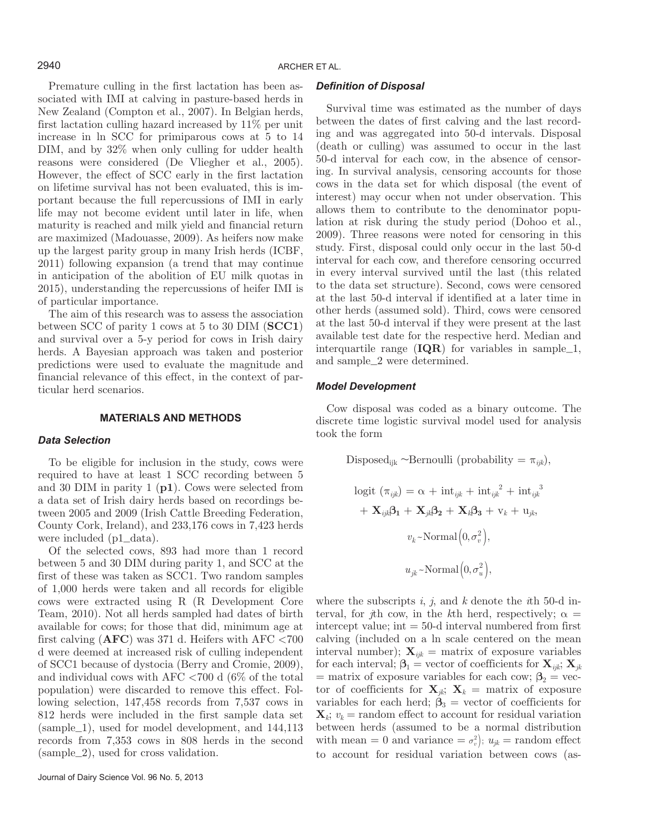Premature culling in the first lactation has been associated with IMI at calving in pasture-based herds in New Zealand (Compton et al., 2007). In Belgian herds, first lactation culling hazard increased by 11% per unit increase in ln SCC for primiparous cows at 5 to 14 DIM, and by 32% when only culling for udder health reasons were considered (De Vliegher et al., 2005). However, the effect of SCC early in the first lactation on lifetime survival has not been evaluated, this is important because the full repercussions of IMI in early life may not become evident until later in life, when maturity is reached and milk yield and financial return are maximized (Madouasse, 2009). As heifers now make up the largest parity group in many Irish herds (ICBF, 2011) following expansion (a trend that may continue in anticipation of the abolition of EU milk quotas in 2015), understanding the repercussions of heifer IMI is of particular importance.

The aim of this research was to assess the association between SCC of parity 1 cows at 5 to 30 DIM (**SCC1**) and survival over a 5-y period for cows in Irish dairy herds. A Bayesian approach was taken and posterior predictions were used to evaluate the magnitude and financial relevance of this effect, in the context of particular herd scenarios.

#### **MATERIALS AND METHODS**

# *Data Selection*

To be eligible for inclusion in the study, cows were required to have at least 1 SCC recording between 5 and 30 DIM in parity 1 (**p1**). Cows were selected from a data set of Irish dairy herds based on recordings between 2005 and 2009 (Irish Cattle Breeding Federation, County Cork, Ireland), and 233,176 cows in 7,423 herds were included (p1\_data).

Of the selected cows, 893 had more than 1 record between 5 and 30 DIM during parity 1, and SCC at the first of these was taken as SCC1. Two random samples of 1,000 herds were taken and all records for eligible cows were extracted using R (R Development Core Team, 2010). Not all herds sampled had dates of birth available for cows; for those that did, minimum age at first calving (**AFC**) was 371 d. Heifers with AFC <700 d were deemed at increased risk of culling independent of SCC1 because of dystocia (Berry and Cromie, 2009), and individual cows with AFC <700 d (6% of the total population) were discarded to remove this effect. Following selection, 147,458 records from 7,537 cows in 812 herds were included in the first sample data set (sample\_1), used for model development, and 144,113 records from 7,353 cows in 808 herds in the second (sample\_2), used for cross validation.

#### *Definition of Disposal*

Survival time was estimated as the number of days between the dates of first calving and the last recording and was aggregated into 50-d intervals. Disposal (death or culling) was assumed to occur in the last 50-d interval for each cow, in the absence of censoring. In survival analysis, censoring accounts for those cows in the data set for which disposal (the event of interest) may occur when not under observation. This allows them to contribute to the denominator population at risk during the study period (Dohoo et al., 2009). Three reasons were noted for censoring in this study. First, disposal could only occur in the last 50-d interval for each cow, and therefore censoring occurred in every interval survived until the last (this related to the data set structure). Second, cows were censored at the last 50-d interval if identified at a later time in other herds (assumed sold). Third, cows were censored at the last 50-d interval if they were present at the last available test date for the respective herd. Median and interquartile range (**IQR**) for variables in sample\_1, and sample\_2 were determined.

#### *Model Development*

Cow disposal was coded as a binary outcome. The discrete time logistic survival model used for analysis took the form

Disposed<sub>ijk</sub> ~Bernoulli (probability = 
$$
\pi_{ijk}
$$
),  
\nlogit  $(\pi_{ijk}) = \alpha + \text{int}_{ijk} + \text{int}_{ijk}^2 + \text{int}_{ijk}^3$   
\n $+ \mathbf{X}_{ijk}\mathbf{\beta}_1 + \mathbf{X}_{jk}\mathbf{\beta}_2 + \mathbf{X}_k\mathbf{\beta}_3 + \mathbf{v}_k + \mathbf{u}_{jk},$   
\n $v_k$ ~Normal $(0, \sigma_v^2)$ ,  
\n $u_{jk}$ ~Normal $(0, \sigma_u^2)$ ,

where the subscripts *i*, *j*, and *k* denote the *i*th 50-d interval, for *j*th cow, in the *k*th herd, respectively;  $\alpha$ intercept value;  $\text{int} = 50$ -d interval numbered from first calving (included on a ln scale centered on the mean interval number);  $\mathbf{X}_{ijk}$  = matrix of exposure variables for each interval;  $\beta_1$  = vector of coefficients for  $\mathbf{X}_{ijk}$ ;  $\mathbf{X}_{jk}$  $=$  matrix of exposure variables for each cow;  $\beta_2$  = vector of coefficients for  $\mathbf{X}_{jk}$ ;  $\mathbf{X}_k = \text{matrix of exposure}$ variables for each herd;  $\beta_3$  = vector of coefficients for  $\mathbf{X}_k$ ;  $v_k$  = random effect to account for residual variation between herds (assumed to be a normal distribution with mean = 0 and variance =  $\sigma_v^2$ );  $u_{jk}$  = random effect to account for residual variation between cows (as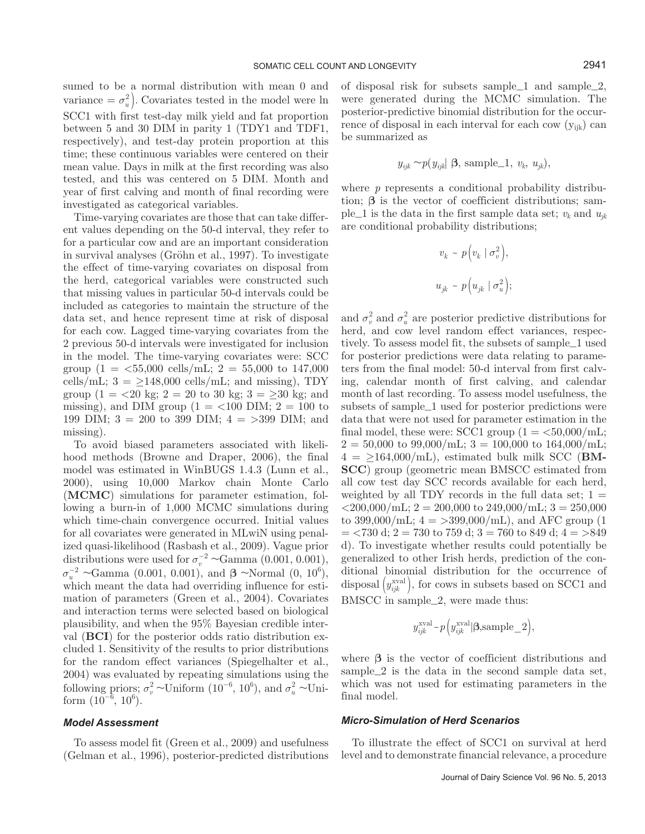sumed to be a normal distribution with mean 0 and variance  $= \sigma_u^2$ ). Covariates tested in the model were ln SCC1 with first test-day milk yield and fat proportion between 5 and 30 DIM in parity 1 (TDY1 and TDF1, respectively), and test-day protein proportion at this time; these continuous variables were centered on their mean value. Days in milk at the first recording was also tested, and this was centered on 5 DIM. Month and year of first calving and month of final recording were investigated as categorical variables.

Time-varying covariates are those that can take different values depending on the 50-d interval, they refer to for a particular cow and are an important consideration in survival analyses (Gröhn et al., 1997). To investigate the effect of time-varying covariates on disposal from the herd, categorical variables were constructed such that missing values in particular 50-d intervals could be included as categories to maintain the structure of the data set, and hence represent time at risk of disposal for each cow. Lagged time-varying covariates from the 2 previous 50-d intervals were investigated for inclusion in the model. The time-varying covariates were: SCC group  $(1 = 55,000 \text{ cells/mL}; 2 = 55,000 \text{ to } 147,000$ cells/mL;  $3 = \geq 148,000$  cells/mL; and missing), TDY group (1 = <20 kg; 2 = 20 to 30 kg; 3 =  $\geq$ 30 kg; and missing), and DIM group ( $1 =$  <100 DIM;  $2 = 100$  to 199 DIM; 3 = 200 to 399 DIM; 4 = >399 DIM; and missing).

To avoid biased parameters associated with likelihood methods (Browne and Draper, 2006), the final model was estimated in WinBUGS 1.4.3 (Lunn et al., 2000), using 10,000 Markov chain Monte Carlo (**MCMC**) simulations for parameter estimation, following a burn-in of 1,000 MCMC simulations during which time-chain convergence occurred. Initial values for all covariates were generated in MLwiN using penalized quasi-likelihood (Rasbash et al., 2009). Vague prior distributions were used for  $\sigma_v^{-2} \sim \text{Gamma}(0.001, 0.001)$ ,  $\sigma_u^{-2}$  ~Gamma (0.001, 0.001), and β ~Normal (0, 10<sup>6</sup>), which meant the data had overriding influence for estimation of parameters (Green et al., 2004). Covariates and interaction terms were selected based on biological plausibility, and when the 95% Bayesian credible interval (**BCI**) for the posterior odds ratio distribution excluded 1. Sensitivity of the results to prior distributions for the random effect variances (Spiegelhalter et al., 2004) was evaluated by repeating simulations using the following priors;  $\sigma_v^2 \sim$ Uniform  $(10^{-6}, 10^6)$ , and  $\sigma_u^2 \sim$ Uniform  $(10^{-6}, 10^{6})$ .

# *Model Assessment*

To assess model fit (Green et al., 2009) and usefulness (Gelman et al., 1996), posterior-predicted distributions of disposal risk for subsets sample\_1 and sample\_2, were generated during the MCMC simulation. The posterior-predictive binomial distribution for the occurrence of disposal in each interval for each cow  $(y_{ijk})$  can be summarized as

$$
y_{ijk} \sim p(y_{ijk} | \mathbf{\beta}, \text{sample\_1}, v_k, u_{jk}),
$$

where *p* represents a conditional probability distribution; **β** is the vector of coefficient distributions; sample<sub>-1</sub> is the data in the first sample data set;  $v_k$  and  $u_{ik}$ are conditional probability distributions;

$$
v_k \sim p(v_k | \sigma_v^2),
$$
  

$$
u_{jk} \sim p(u_{jk} | \sigma_u^2);
$$

and  $\sigma_v^2$  and  $\sigma_u^2$  are posterior predictive distributions for herd, and cow level random effect variances, respectively. To assess model fit, the subsets of sample\_1 used for posterior predictions were data relating to parameters from the final model: 50-d interval from first calving, calendar month of first calving, and calendar month of last recording. To assess model usefulness, the subsets of sample\_1 used for posterior predictions were data that were not used for parameter estimation in the final model, these were: SCC1 group  $(1 = \langle 50,000 \rangle \text{mL})$ ;  $2 = 50,000$  to  $99,000$ /mL;  $3 = 100,000$  to  $164,000$ /mL;  $4 = \geq 164,000/\text{mL}$ , estimated bulk milk SCC (**BM-SCC**) group (geometric mean BMSCC estimated from all cow test day SCC records available for each herd, weighted by all TDY records in the full data set;  $1 =$  $\langle 200000 \rangle$ mL; 2 = 200,000 to 249,000/mL; 3 = 250,000 to 399,000/mL;  $4 = >399,000$ /mL), and AFC group (1)  $=$  <730 d; 2 = 730 to 759 d; 3 = 760 to 849 d; 4 = >849 d). To investigate whether results could potentially be generalized to other Irish herds, prediction of the conditional binomial distribution for the occurrence of disposal  $\left(y_{ijk}^{\text{eval}}\right)$ , for cows in subsets based on SCC1 and BMSCC in sample\_2, were made thus:

$$
y_{ijk}^{\text{xval}} \sim p\left(y_{ijk}^{\text{xval}} | \beta, \text{sample\_2}\right),
$$

where **β** is the vector of coefficient distributions and sample\_2 is the data in the second sample data set, which was not used for estimating parameters in the final model.

#### *Micro-Simulation of Herd Scenarios*

To illustrate the effect of SCC1 on survival at herd level and to demonstrate financial relevance, a procedure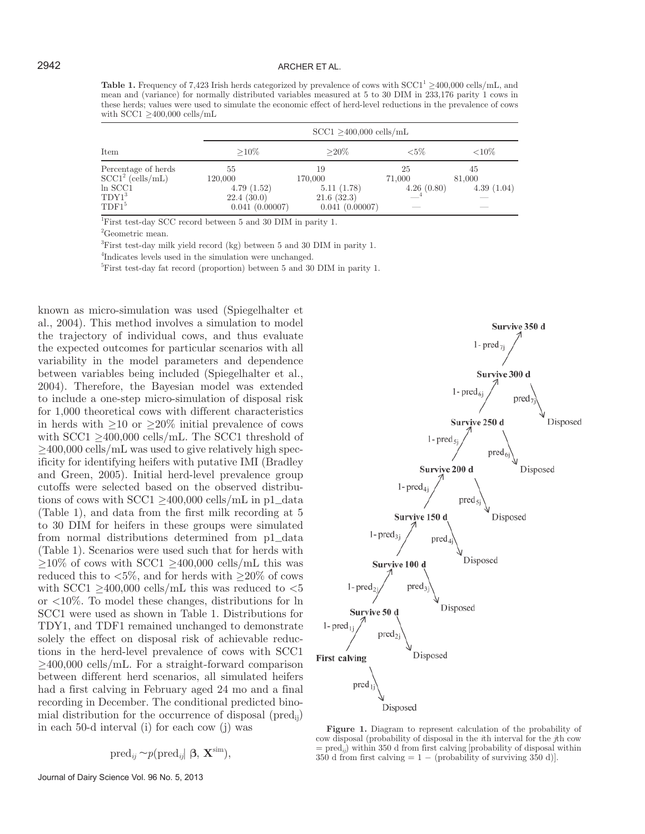**Table 1.** Frequency of 7,423 Irish herds categorized by prevalence of cows with  $SCC1<sup>1</sup> \ge 400,000$  cells/mL, and mean and (variance) for normally distributed variables measured at 5 to 30 DIM in 233,176 parity 1 cows in these herds; values were used to simulate the economic effect of herd-level reductions in the prevalence of cows with SCC1 ≥400,000 cells/mL

|                                                                                                | $SCC1 > 400,000$ cells/mL                                   |                                                             |                            |                            |  |  |
|------------------------------------------------------------------------------------------------|-------------------------------------------------------------|-------------------------------------------------------------|----------------------------|----------------------------|--|--|
| Item                                                                                           | $>10\%$                                                     | $>20\%$                                                     | ${<}5\%$                   | ${<}10\%$                  |  |  |
| Percentage of herds<br>$SCC12$ (cells/mL)<br>$ln$ SCC1<br>$\text{TDY1}^3$<br>TDF1 <sup>5</sup> | 55<br>120,000<br>4.79(1.52)<br>22.4(30.0)<br>0.041(0.00007) | 19<br>170,000<br>5.11(1.78)<br>21.6(32.3)<br>0.041(0.00007) | 25<br>71,000<br>4.26(0.80) | 45<br>81,000<br>4.39(1.04) |  |  |

<sup>1</sup>First test-day SCC record between 5 and 30 DIM in parity 1.

2 Geometric mean.

<sup>3</sup>First test-day milk yield record (kg) between 5 and 30 DIM in parity 1.

4 Indicates levels used in the simulation were unchanged.

<sup>5</sup>First test-day fat record (proportion) between 5 and 30 DIM in parity 1.

known as micro-simulation was used (Spiegelhalter et al., 2004). This method involves a simulation to model the trajectory of individual cows, and thus evaluate the expected outcomes for particular scenarios with all variability in the model parameters and dependence between variables being included (Spiegelhalter et al., 2004). Therefore, the Bayesian model was extended to include a one-step micro-simulation of disposal risk for 1,000 theoretical cows with different characteristics in herds with  $\geq 10$  or  $\geq 20\%$  initial prevalence of cows with  $SCC1 \geq 400,000$  cells/mL. The SCC1 threshold of  $\geq$ 400,000 cells/mL was used to give relatively high specificity for identifying heifers with putative IMI (Bradley and Green, 2005). Initial herd-level prevalence group cutoffs were selected based on the observed distributions of cows with  $SCC1 \ge 400,000$  cells/mL in p1\_data (Table 1), and data from the first milk recording at 5 to 30 DIM for heifers in these groups were simulated from normal distributions determined from p1\_data (Table 1). Scenarios were used such that for herds with  $\geq$ 10% of cows with SCC1  $\geq$ 400,000 cells/mL this was reduced this to  $\langle 5\%, \text{ and for herds with } \rangle 20\%$  of cows with SCC1  $\geq$ 400,000 cells/mL this was reduced to  $<$ 5 or <10%. To model these changes, distributions for ln SCC1 were used as shown in Table 1. Distributions for TDY1, and TDF1 remained unchanged to demonstrate solely the effect on disposal risk of achievable reductions in the herd-level prevalence of cows with SCC1  $\geq$ 400,000 cells/mL. For a straight-forward comparison between different herd scenarios, all simulated heifers had a first calving in February aged 24 mo and a final recording in December. The conditional predicted binomial distribution for the occurrence of disposal ( $\text{pred}_{ii}$ ) in each 50-d interval (i) for each cow (j) was

$$
\mathrm{pred}_{ij} \sim p(\mathrm{pred}_{ij} | \beta, \mathbf{X}^{\mathrm{sim}}),
$$

Journal of Dairy Science Vol. 96 No. 5, 2013



**Figure 1.** Diagram to represent calculation of the probability of cow disposal (probability of disposal in the *i*th interval for the *j*th cow  $=$  pred<sub>*ii*</sub>) within 350 d from first calving probability of disposal within 350 d from first calving  $= 1 - (probability of surviving 350 d)].$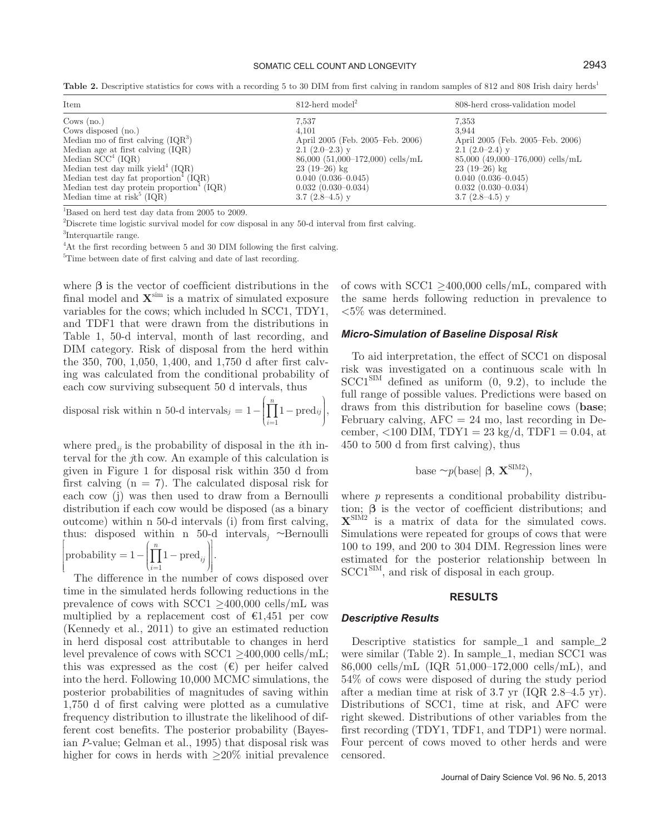#### SOMATIC CELL COUNT AND LONGEVITY **2943**

Table 2. Descriptive statistics for cows with a recording 5 to 30 DIM from first calving in random samples of 812 and 808 Irish dairy herds<sup>1</sup>

| Item                                                  | $812$ -herd model <sup>2</sup>       | 808-herd cross-validation model    |
|-------------------------------------------------------|--------------------------------------|------------------------------------|
| Cows $(no.)$                                          | 7,537                                | 7,353                              |
| Cows disposed (no.)                                   | 4.101                                | 3.944                              |
| Median mo of first calving $(1QR^3)$                  | April 2005 (Feb. 2005–Feb. 2006)     | April 2005 (Feb. 2005–Feb. 2006)   |
| Median age at first calving (IQR)                     | $2.1(2.0-2.3)$ y                     | $2.1(2.0-2.4)$ y                   |
| Median $SCC4 (IQR)$                                   | $86,000$ $(51,000-172,000)$ cells/mL | $85,000$ (49,000-176,000) cells/mL |
| Median test day milk yield $4$ (IQR)                  | $23(19-26)$ kg                       | $23(19-26)$ kg                     |
| Median test day fat proportion <sup>4</sup> ( $IQR$ ) | $0.040(0.036 - 0.045)$               | $0.040(0.036 - 0.045)$             |
| Median test day protein proportion <sup>4</sup> (IQR) | $0.032(0.030-0.034)$                 | $0.032(0.030-0.034)$               |
| Median time at risk <sup><math>5</math></sup> (IQR)   | 3.7 $(2.8-4.5)$ y                    | 3.7 $(2.8-4.5)$ y                  |

<sup>1</sup>Based on herd test day data from 2005 to 2009.

<sup>2</sup>Discrete time logistic survival model for cow disposal in any 50-d interval from first calving.

<sup>3</sup>Interquartile range.

<sup>4</sup>At the first recording between 5 and 30 DIM following the first calving.

<sup>5</sup>Time between date of first calving and date of last recording.

where  $\beta$  is the vector of coefficient distributions in the final model and **X**sim is a matrix of simulated exposure variables for the cows; which included ln SCC1, TDY1, and TDF1 that were drawn from the distributions in Table 1, 50-d interval, month of last recording, and DIM category. Risk of disposal from the herd within the 350, 700, 1,050, 1,400, and 1,750 d after first calving was calculated from the conditional probability of each cow surviving subsequent 50 d intervals, thus

disposal risk within n 50-d intervals
$$
j = 1 - \left(\prod_{i=1}^{n} 1 - \text{pred}_{ij}\right)
$$
,

where  $\text{pred}_{ij}$  is the probability of disposal in the *th in*terval for the *j*th cow. An example of this calculation is given in Figure 1 for disposal risk within 350 d from first calving  $(n = 7)$ . The calculated disposal risk for each cow (j) was then used to draw from a Bernoulli distribution if each cow would be disposed (as a binary outcome) within n 50-d intervals (i) from first calving, thus: disposed within n 50-d intervals<sub>j</sub> ~Bernoulli

$$
\left[\text{probability} = 1 - \left(\prod_{i=1}^{n} 1 - \text{pred}_{ij}\right)\right].
$$

The difference in the number of cows disposed over time in the simulated herds following reductions in the prevalence of cows with SCC1  $\geq$ 400,000 cells/mL was multiplied by a replacement cost of  $\epsilon 1,451$  per cow (Kennedy et al., 2011) to give an estimated reduction in herd disposal cost attributable to changes in herd level prevalence of cows with SCC1  $\geq$ 400,000 cells/mL; this was expressed as the cost  $(\epsilon)$  per heifer calved into the herd. Following 10,000 MCMC simulations, the posterior probabilities of magnitudes of saving within 1,750 d of first calving were plotted as a cumulative frequency distribution to illustrate the likelihood of different cost benefits. The posterior probability (Bayesian *P*-value; Gelman et al., 1995) that disposal risk was higher for cows in herds with ≥20% initial prevalence of cows with  $SCC1 \geq 400,000$  cells/mL, compared with the same herds following reduction in prevalence to <5% was determined.

#### *Micro-Simulation of Baseline Disposal Risk*

To aid interpretation, the effect of SCC1 on disposal risk was investigated on a continuous scale with ln  $SCCI<sup>SIM</sup>$  defined as uniform  $(0, 9.2)$ , to include the full range of possible values. Predictions were based on draws from this distribution for baseline cows (**base**; February calving,  $\text{AFC} = 24 \text{ mo}$ , last recording in December, <100 DIM,  $TDY1 = 23 \text{ kg/d}$ ,  $TDF1 = 0.04$ , at 450 to 500 d from first calving), thus

base 
$$
\sim p(\text{base} | \beta, \mathbf{X}^{\text{SIM2}}),
$$

where *p* represents a conditional probability distribution; **β** is the vector of coefficient distributions; and **X**SIM2 is a matrix of data for the simulated cows. Simulations were repeated for groups of cows that were 100 to 199, and 200 to 304 DIM. Regression lines were estimated for the posterior relationship between ln SCC1<sup>SIM</sup>, and risk of disposal in each group.

#### **RESULTS**

#### *Descriptive Results*

Descriptive statistics for sample\_1 and sample\_2 were similar (Table 2). In sample\_1, median SCC1 was 86,000 cells/mL (IQR 51,000–172,000 cells/mL), and 54% of cows were disposed of during the study period after a median time at risk of 3.7 yr (IQR 2.8–4.5 yr). Distributions of SCC1, time at risk, and AFC were right skewed. Distributions of other variables from the first recording (TDY1, TDF1, and TDP1) were normal. Four percent of cows moved to other herds and were censored.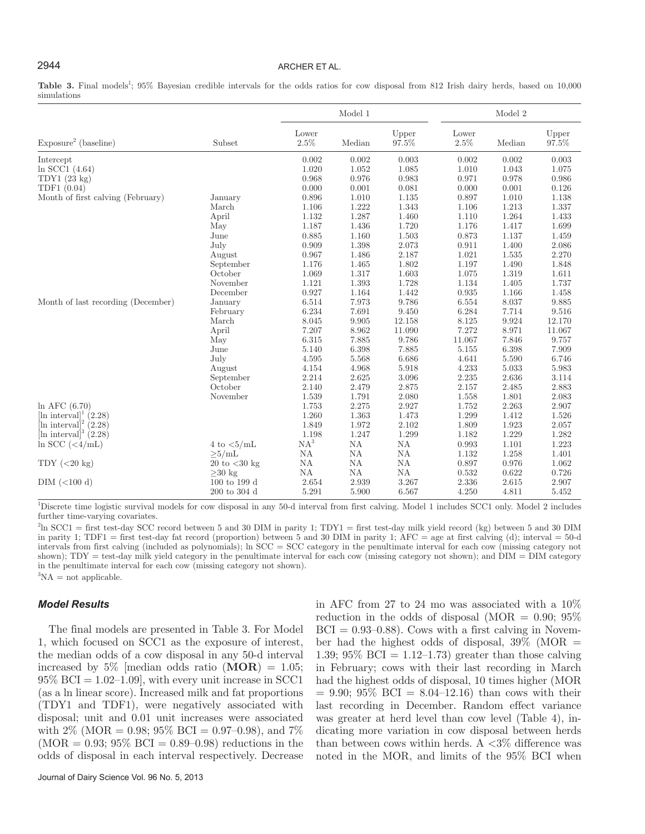# 2944 ARCHER ET AL.

Table 3. Final models<sup>1</sup>; 95% Bayesian credible intervals for the odds ratios for cow disposal from 812 Irish dairy herds, based on 10,000 simulations

|                                     |                           | Model 1          |               |                | Model 2       |           |                |
|-------------------------------------|---------------------------|------------------|---------------|----------------|---------------|-----------|----------------|
| Exposure <sup>2</sup> (baseline)    | Subset                    | Lower<br>$2.5\%$ | Median        | Upper<br>97.5% | Lower<br>2.5% | Median    | Upper<br>97.5% |
| Intercept                           |                           | 0.002            | 0.002         | 0.003          | 0.002         | 0.002     | 0.003          |
| $ln$ SCC1 (4.64)                    |                           | 1.020            | 1.052         | 1.085          | 1.010         | 1.043     | 1.075          |
| TDY1(23 kg)                         |                           | 0.968            | 0.976         | 0.983          | 0.971         | 0.978     | 0.986          |
| TDF1 (0.04)                         |                           | 0.000            | 0.001         | 0.081          | 0.000         | 0.001     | 0.126          |
| Month of first calving (February)   | January                   | 0.896            | 1.010         | 1.135          | 0.897         | 1.010     | 1.138          |
|                                     | March                     | 1.106            | 1.222         | 1.343          | 1.106         | 1.213     | 1.337          |
|                                     | April                     | $1.132\,$        | 1.287         | 1.460          | 1.110         | 1.264     | 1.433          |
|                                     | May                       | 1.187            | 1.436         | 1.720          | 1.176         | 1.417     | 1.699          |
|                                     | June                      | 0.885            | 1.160         | 1.503          | 0.873         | 1.137     | 1.459          |
|                                     | July                      | 0.909            | $1.398\,$     | 2.073          | 0.911         | 1.400     | 2.086          |
|                                     | August                    | 0.967            | 1.486         | 2.187          | 1.021         | 1.535     | 2.270          |
|                                     | September                 | 1.176            | 1.465         | 1.802          | 1.197         | 1.490     | 1.848          |
|                                     | October                   | 1.069            | 1.317         | 1.603          | 1.075         | 1.319     | 1.611          |
|                                     | November                  | 1.121            | 1.393         | 1.728          | 1.134         | 1.405     | 1.737          |
|                                     | December                  | 0.927            | 1.164         | 1.442          | 0.935         | 1.166     | 1.458          |
| Month of last recording (December)  | January                   | 6.514            | 7.973         | 9.786          | 6.554         | 8.037     | 9.885          |
|                                     | February                  | 6.234            | 7.691         | 9.450          | 6.284         | 7.714     | 9.516          |
|                                     | March                     | 8.045            | 9.905         | 12.158         | 8.125         | 9.924     | 12.170         |
|                                     | April                     | 7.207            | 8.962         | 11.090         | 7.272         | 8.971     | 11.067         |
|                                     | May                       | 6.315            | 7.885         | 9.786          | 11.067        | 7.846     | 9.757          |
|                                     | June                      | 5.140            | 6.398         | 7.885          | 5.155         | 6.398     | 7.909          |
|                                     | July                      | 4.595            | 5.568         | 6.686          | 4.641         | 5.590     | 6.746          |
|                                     | August                    | 4.154            | 4.968         | $5.918\,$      | 4.233         | $5.033\,$ | $5.983\,$      |
|                                     | September                 | 2.214            | 2.625         | $3.096\,$      | 2.235         | 2.636     | 3.114          |
|                                     | October                   | 2.140            | 2.479         | 2.875          | $2.157\,$     | 2.485     | 2.883          |
|                                     | November                  | 1.539            | 1.791         | 2.080          | 1.558         | 1.801     | 2.083          |
| $ln$ AFC $(6.70)$                   |                           | 1.753            | 2.275         | 2.927          | 1.752         | 2.263     | 2.907          |
| [ln interval] <sup>1</sup> $(2.28)$ |                           | 1.260            | 1.363         | 1.473          | 1.299         | 1.412     | 1.526          |
| $[\text{ln interval}]^2$ (2.28)     |                           | 1.849            | $1.972\,$     | 2.102          | 1.809         | 1.923     | 2.057          |
| $\text{ln interval}^3$ (2.28)       |                           | 1.198            | 1.247         | 1.299          | 1.182         | 1.229     | 1.282          |
| $\ln$ SCC (<4/mL)                   | 4 to $\langle 5/mL$       | $\mathrm{NA}^3$  | NA            | NA             | 0.993         | 1.101     | 1.223          |
|                                     | >5/mL                     | NA               | NA            | NA             | 1.132         | 1.258     | 1.401          |
| $TDY$ (<20 kg)                      | 20 to $<$ 30 kg           | NA               | NA            | NA             | 0.897         | 0.976     | 1.062          |
|                                     | $\geq$ 30 kg              | $\mathrm{NA}$    | $\mathrm{NA}$ | NA             | 0.532         | 0.622     | 0.726          |
| $DIM$ (<100 d)                      | 100 to 199 d              | 2.654            | 2.939         | 3.267          | 2.336         | 2.615     | 2.907          |
|                                     | $200$ to $304~\mathrm{d}$ | 5.291            | 5.900         | 6.567          | 4.250         | 4.811     | 5.452          |

<sup>1</sup>Discrete time logistic survival models for cow disposal in any 50-d interval from first calving. Model 1 includes SCC1 only. Model 2 includes further time-varying covariates.

<sup>2</sup>ln SCC1 = first test-day SCC record between 5 and 30 DIM in parity 1; TDY1 = first test-day milk yield record (kg) between 5 and 30 DIM in parity 1; TDF1 = first test-day fat record (proportion) between 5 and 30 DIM in parity 1; AFC = age at first calving (d); interval = 50-d intervals from first calving (included as polynomials); ln SCC = SCC category in the penultimate interval for each cow (missing category not shown); TDY = test-day milk yield category in the penultimate interval for each cow (missing category not shown); and DIM = DIM category in the penultimate interval for each cow (missing category not shown).  ${}^{3}NA =$  not applicable.

#### *Model Results*

The final models are presented in Table 3. For Model 1, which focused on SCC1 as the exposure of interest, the median odds of a cow disposal in any 50-d interval increased by 5\% [median odds ratio  $(MOR) = 1.05$ ;  $95\%$  BCI = 1.02–1.09, with every unit increase in SCC1 (as a ln linear score). Increased milk and fat proportions (TDY1 and TDF1), were negatively associated with disposal; unit and 0.01 unit increases were associated with  $2\%$  (MOR = 0.98;  $95\%$  BCI = 0.97–0.98), and  $7\%$  $(MOR = 0.93; 95\% \text{ BCI} = 0.89{\text -}0.98) \text{ reductions in the}$ odds of disposal in each interval respectively. Decrease in AFC from 27 to 24 mo was associated with a 10% reduction in the odds of disposal (MOR  $= 0.90; 95\%$  $BCI = 0.93{\text -}0.88$ . Cows with a first calving in November had the highest odds of disposal,  $39\%$  (MOR = 1.39; 95\% BCI = 1.12-1.73) greater than those calving in February; cows with their last recording in March had the highest odds of disposal, 10 times higher (MOR  $= 9.90; 95\% \text{ BCI} = 8.04 - 12.16$  than cows with their last recording in December. Random effect variance was greater at herd level than cow level (Table 4), indicating more variation in cow disposal between herds than between cows within herds. A  $\langle 3\%$  difference was noted in the MOR, and limits of the 95% BCI when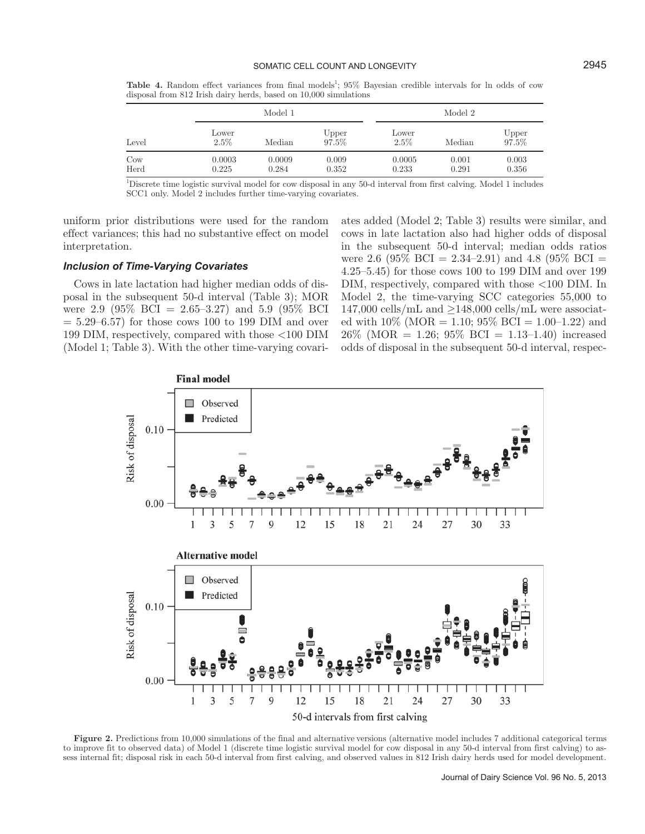Table 4. Random effect variances from final models<sup>1</sup>; 95% Bayesian credible intervals for ln odds of cow disposal from 812 Irish dairy herds, based on 10,000 simulations

|                         |                  | Model 1         |                |                  | Model 2        |                |  |
|-------------------------|------------------|-----------------|----------------|------------------|----------------|----------------|--|
| Level                   | Lower<br>$2.5\%$ | Median          | Upper<br>97.5% | Lower<br>$2.5\%$ | Median         | Upper<br>97.5% |  |
| $_{\text{Cow}}$<br>Herd | 0.0003<br>0.225  | 0.0009<br>0.284 | 0.009<br>0.352 | 0.0005<br>0.233  | 0.001<br>0.291 | 0.003<br>0.356 |  |

<sup>1</sup>Discrete time logistic survival model for cow disposal in any 50-d interval from first calving. Model 1 includes SCC1 only. Model 2 includes further time-varying covariates.

uniform prior distributions were used for the random effect variances; this had no substantive effect on model interpretation.

### *Inclusion of Time-Varying Covariates*

Cows in late lactation had higher median odds of disposal in the subsequent 50-d interval (Table 3); MOR were 2.9 (95% BCI = 2.65–3.27) and 5.9 (95% BCI  $= 5.29 - 6.57$  for those cows 100 to 199 DIM and over 199 DIM, respectively, compared with those <100 DIM (Model 1; Table 3). With the other time-varying covariates added (Model 2; Table 3) results were similar, and cows in late lactation also had higher odds of disposal in the subsequent 50-d interval; median odds ratios were 2.6 (95\% BCI = 2.34-2.91) and 4.8 (95\% BCI = 4.25–5.45) for those cows 100 to 199 DIM and over 199 DIM, respectively, compared with those <100 DIM. In Model 2, the time-varying SCC categories 55,000 to  $147,000$  cells/mL and  $\geq$ 148,000 cells/mL were associated with  $10\%$  (MOR = 1.10;  $95\%$  BCI = 1.00–1.22) and  $26\%$  (MOR = 1.26; 95\% BCI = 1.13-1.40) increased odds of disposal in the subsequent 50-d interval, respec-



**Figure 2.** Predictions from 10,000 simulations of the final and alternative versions (alternative model includes 7 additional categorical terms to improve fit to observed data) of Model 1 (discrete time logistic survival model for cow disposal in any 50-d interval from first calving) to assess internal fit; disposal risk in each 50-d interval from first calving, and observed values in 812 Irish dairy herds used for model development.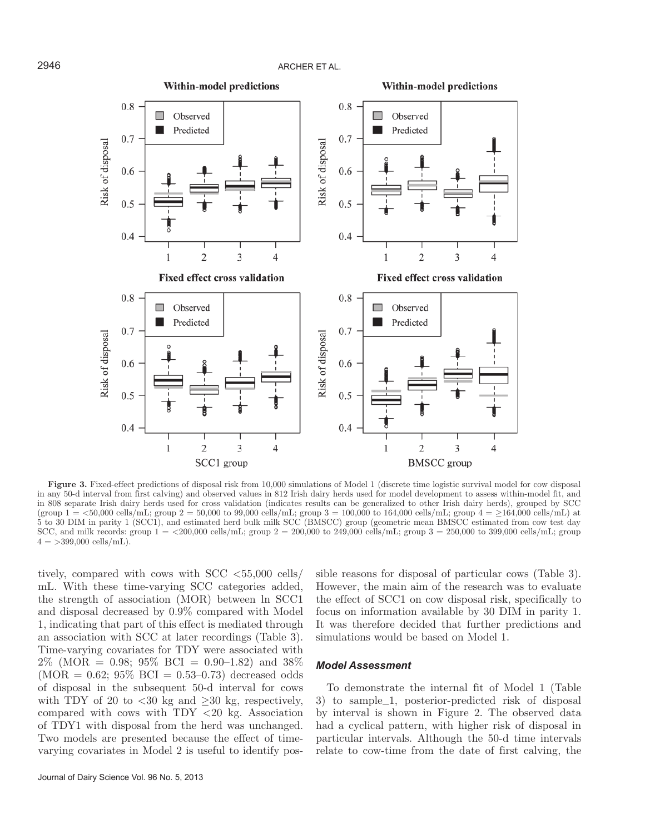

Figure 3. Fixed-effect predictions of disposal risk from 10,000 simulations of Model 1 (discrete time logistic survival model for cow disposal in any 50-d interval from first calving) and observed values in 812 Irish dairy herds used for model development to assess within-model fit, and in 808 separate Irish dairy herds used for cross validation (indicates results can be generalized to other Irish dairy herds), grouped by SCC (group  $1 = \langle 50,000 \text{ cells/mL}$ ; group  $2 = 50,000 \text{ to } 99,000 \text{ cells/mL}$ ; group  $3 = 100,000 \text{ to } 164,000 \text{ cells/mL}$ ; group  $4 = \langle 164,000 \text{ cells/mL} \rangle$  at 5 to 30 DIM in parity 1 (SCC1), and estimated herd bulk milk SCC (BMSCC) group (geometric mean BMSCC estimated from cow test day SCC, and milk records: group  $1 = \langle 200,000 \text{ cells/mL}$ ; group  $2 = 200,000$  to  $249,000 \text{ cells/mL}$ ; group  $3 = 250,000$  to  $399,000 \text{ cells/mL}$ ; group  $4 = >399,000$  cells/mL).

tively, compared with cows with  $SCC < 55,000$  cells/ mL. With these time-varying SCC categories added, the strength of association (MOR) between ln SCC1 and disposal decreased by 0.9% compared with Model 1, indicating that part of this effect is mediated through an association with SCC at later recordings (Table 3). Time-varying covariates for TDY were associated with  $2\%$  (MOR = 0.98; 95% BCI = 0.90–1.82) and 38%  $(MOR = 0.62; 95\% \text{ BCI} = 0.53-0.73)$  decreased odds of disposal in the subsequent 50-d interval for cows with TDY of 20 to  $\langle 30 \text{ kg} \rangle$  and  $>30 \text{ kg}$ , respectively, compared with cows with TDY <20 kg. Association of TDY1 with disposal from the herd was unchanged. Two models are presented because the effect of timevarying covariates in Model 2 is useful to identify possible reasons for disposal of particular cows (Table 3). However, the main aim of the research was to evaluate the effect of SCC1 on cow disposal risk, specifically to focus on information available by 30 DIM in parity 1. It was therefore decided that further predictions and simulations would be based on Model 1.

### *Model Assessment*

To demonstrate the internal fit of Model 1 (Table 3) to sample\_1, posterior-predicted risk of disposal by interval is shown in Figure 2. The observed data had a cyclical pattern, with higher risk of disposal in particular intervals. Although the 50-d time intervals relate to cow-time from the date of first calving, the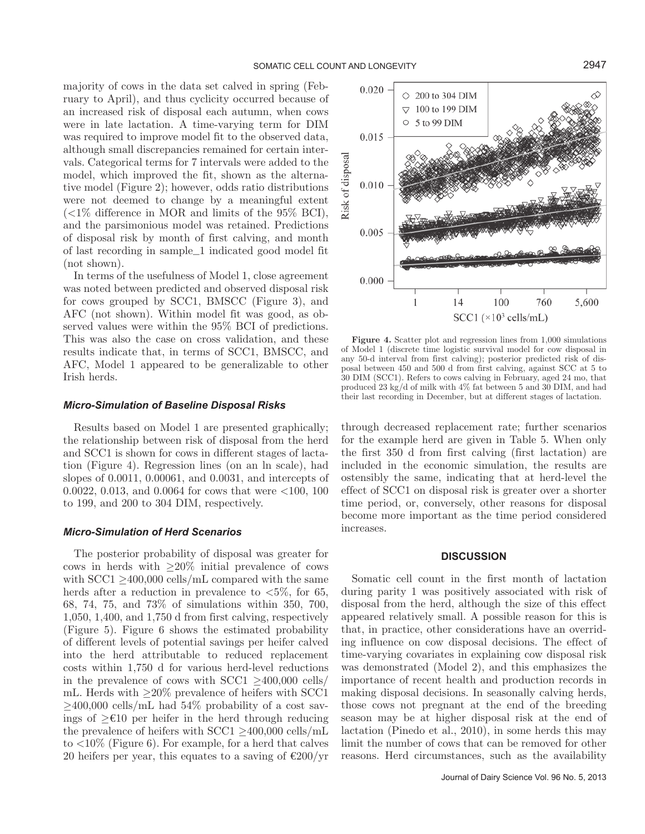majority of cows in the data set calved in spring (February to April), and thus cyclicity occurred because of an increased risk of disposal each autumn, when cows were in late lactation. A time-varying term for DIM was required to improve model fit to the observed data, although small discrepancies remained for certain intervals. Categorical terms for 7 intervals were added to the model, which improved the fit, shown as the alternative model (Figure 2); however, odds ratio distributions were not deemed to change by a meaningful extent  $\langle$  <1% difference in MOR and limits of the 95% BCI), and the parsimonious model was retained. Predictions of disposal risk by month of first calving, and month of last recording in sample\_1 indicated good model fit (not shown).

In terms of the usefulness of Model 1, close agreement was noted between predicted and observed disposal risk for cows grouped by SCC1, BMSCC (Figure 3), and AFC (not shown). Within model fit was good, as observed values were within the 95% BCI of predictions. This was also the case on cross validation, and these results indicate that, in terms of SCC1, BMSCC, and AFC, Model 1 appeared to be generalizable to other Irish herds.

#### *Micro-Simulation of Baseline Disposal Risks*

Results based on Model 1 are presented graphically; the relationship between risk of disposal from the herd and SCC1 is shown for cows in different stages of lactation (Figure 4). Regression lines (on an ln scale), had slopes of 0.0011, 0.00061, and 0.0031, and intercepts of 0.0022, 0.013, and 0.0064 for cows that were <100, 100 to 199, and 200 to 304 DIM, respectively.

#### *Micro-Simulation of Herd Scenarios*

The posterior probability of disposal was greater for cows in herds with  $\geq 20\%$  initial prevalence of cows with  $SCC1 \geq 400,000$  cells/mL compared with the same herds after a reduction in prevalence to  $\langle 5\%,$  for 65, 68, 74, 75, and 73% of simulations within 350, 700, 1,050, 1,400, and 1,750 d from first calving, respectively (Figure 5). Figure 6 shows the estimated probability of different levels of potential savings per heifer calved into the herd attributable to reduced replacement costs within 1,750 d for various herd-level reductions in the prevalence of cows with  $SCC1 > 400,000$  cells/ mL. Herds with  $\geq 20\%$  prevalence of heifers with SCC1  $>400,000$  cells/mL had 54% probability of a cost savings of ≥€10 per heifer in the herd through reducing the prevalence of heifers with  $SCC1 > 400,000$  cells/mL to  $\langle 10\%$  (Figure 6). For example, for a herd that calves 20 heifers per year, this equates to a saving of  $\epsilon$ 200/yr



Figure 4. Scatter plot and regression lines from 1,000 simulations of Model 1 (discrete time logistic survival model for cow disposal in any 50-d interval from first calving); posterior predicted risk of disposal between 450 and 500 d from first calving, against SCC at 5 to 30 DIM (SCC1). Refers to cows calving in February, aged 24 mo, that produced 23 kg/d of milk with 4% fat between 5 and 30 DIM, and had their last recording in December, but at different stages of lactation.

through decreased replacement rate; further scenarios for the example herd are given in Table 5. When only the first 350 d from first calving (first lactation) are included in the economic simulation, the results are ostensibly the same, indicating that at herd-level the effect of SCC1 on disposal risk is greater over a shorter time period, or, conversely, other reasons for disposal become more important as the time period considered increases.

#### **DISCUSSION**

Somatic cell count in the first month of lactation during parity 1 was positively associated with risk of disposal from the herd, although the size of this effect appeared relatively small. A possible reason for this is that, in practice, other considerations have an overriding influence on cow disposal decisions. The effect of time-varying covariates in explaining cow disposal risk was demonstrated (Model 2), and this emphasizes the importance of recent health and production records in making disposal decisions. In seasonally calving herds, those cows not pregnant at the end of the breeding season may be at higher disposal risk at the end of lactation (Pinedo et al., 2010), in some herds this may limit the number of cows that can be removed for other reasons. Herd circumstances, such as the availability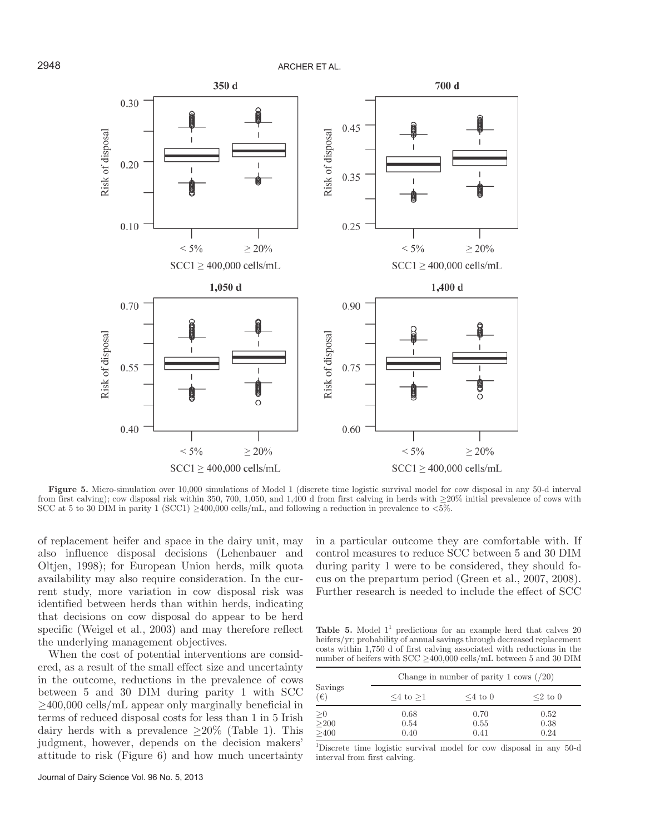

**Figure 5.** Micro-simulation over 10,000 simulations of Model 1 (discrete time logistic survival model for cow disposal in any 50-d interval from first calving); cow disposal risk within 350, 700, 1,050, and 1,400 d from first calving in herds with ≥20% initial prevalence of cows with SCC at 5 to 30 DIM in parity 1 (SCC1)  $\geq$ 400,000 cells/mL, and following a reduction in prevalence to <5%.

of replacement heifer and space in the dairy unit, may also influence disposal decisions (Lehenbauer and Oltjen, 1998); for European Union herds, milk quota availability may also require consideration. In the current study, more variation in cow disposal risk was identified between herds than within herds, indicating that decisions on cow disposal do appear to be herd specific (Weigel et al., 2003) and may therefore reflect the underlying management objectives.

When the cost of potential interventions are considered, as a result of the small effect size and uncertainty in the outcome, reductions in the prevalence of cows between 5 and 30 DIM during parity 1 with SCC ≥400,000 cells/mL appear only marginally beneficial in terms of reduced disposal costs for less than 1 in 5 Irish dairy herds with a prevalence  $\geq 20\%$  (Table 1). This judgment, however, depends on the decision makers' attitude to risk (Figure 6) and how much uncertainty in a particular outcome they are comfortable with. If control measures to reduce SCC between 5 and 30 DIM during parity 1 were to be considered, they should focus on the prepartum period (Green et al., 2007, 2008). Further research is needed to include the effect of SCC

**Table 5.** Model  $1^1$  predictions for an example herd that calves 20 heifers/yr; probability of annual savings through decreased replacement costs within 1,750 d of first calving associated with reductions in the number of heifers with  $SCC \ge 400,000$  cells/mL between 5 and 30 DIM

|                                 | Change in number of parity 1 cows $(20)$ |               |               |  |  |  |
|---------------------------------|------------------------------------------|---------------|---------------|--|--|--|
| Savings<br>$(\epsilon)$         | $\leq 4$ to $>1$                         | $\leq 4$ to 0 | $\leq$ 2 to 0 |  |  |  |
| $\overset{\geq 0}{_{\geq 200}}$ | 0.68                                     | 0.70          | 0.52          |  |  |  |
|                                 | 0.54                                     | 0.55          | 0.38          |  |  |  |
| >400                            | 0.40                                     | 0.41          | 0.24          |  |  |  |

1 Discrete time logistic survival model for cow disposal in any 50-d interval from first calving.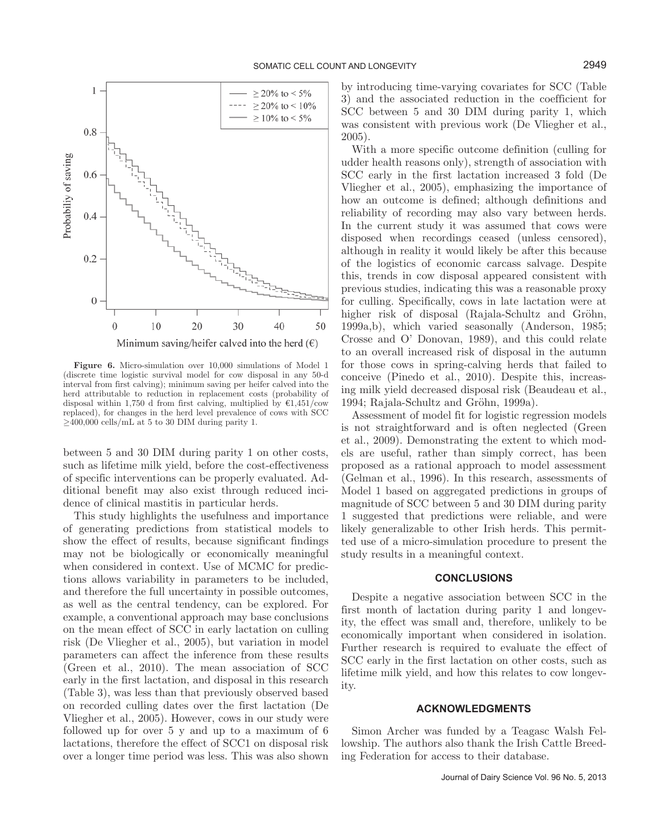

**Figure 6.** Micro-simulation over 10,000 simulations of Model 1 (discrete time logistic survival model for cow disposal in any 50-d interval from first calving); minimum saving per heifer calved into the herd attributable to reduction in replacement costs (probability of disposal within 1,750 d from first calving, multiplied by  $\epsilon$ 1,451/cow replaced), for changes in the herd level prevalence of cows with SCC  $\geq$ 400,000 cells/mL at 5 to 30 DIM during parity 1.

between 5 and 30 DIM during parity 1 on other costs, such as lifetime milk yield, before the cost-effectiveness of specific interventions can be properly evaluated. Additional benefit may also exist through reduced incidence of clinical mastitis in particular herds.

This study highlights the usefulness and importance of generating predictions from statistical models to show the effect of results, because significant findings may not be biologically or economically meaningful when considered in context. Use of MCMC for predictions allows variability in parameters to be included, and therefore the full uncertainty in possible outcomes, as well as the central tendency, can be explored. For example, a conventional approach may base conclusions on the mean effect of SCC in early lactation on culling risk (De Vliegher et al., 2005), but variation in model parameters can affect the inference from these results (Green et al., 2010). The mean association of SCC early in the first lactation, and disposal in this research (Table 3), was less than that previously observed based on recorded culling dates over the first lactation (De Vliegher et al., 2005). However, cows in our study were followed up for over 5 y and up to a maximum of 6 lactations, therefore the effect of SCC1 on disposal risk over a longer time period was less. This was also shown by introducing time-varying covariates for SCC (Table 3) and the associated reduction in the coefficient for SCC between 5 and 30 DIM during parity 1, which was consistent with previous work (De Vliegher et al., 2005).

With a more specific outcome definition (culling for udder health reasons only), strength of association with SCC early in the first lactation increased 3 fold (De Vliegher et al., 2005), emphasizing the importance of how an outcome is defined; although definitions and reliability of recording may also vary between herds. In the current study it was assumed that cows were disposed when recordings ceased (unless censored), although in reality it would likely be after this because of the logistics of economic carcass salvage. Despite this, trends in cow disposal appeared consistent with previous studies, indicating this was a reasonable proxy for culling. Specifically, cows in late lactation were at higher risk of disposal (Rajala-Schultz and Gröhn, 1999a,b), which varied seasonally (Anderson, 1985; Crosse and O' Donovan, 1989), and this could relate to an overall increased risk of disposal in the autumn for those cows in spring-calving herds that failed to conceive (Pinedo et al., 2010). Despite this, increasing milk yield decreased disposal risk (Beaudeau et al., 1994; Rajala-Schultz and Gröhn, 1999a).

Assessment of model fit for logistic regression models is not straightforward and is often neglected (Green et al., 2009). Demonstrating the extent to which models are useful, rather than simply correct, has been proposed as a rational approach to model assessment (Gelman et al., 1996). In this research, assessments of Model 1 based on aggregated predictions in groups of magnitude of SCC between 5 and 30 DIM during parity 1 suggested that predictions were reliable, and were likely generalizable to other Irish herds. This permitted use of a micro-simulation procedure to present the study results in a meaningful context.

#### **CONCLUSIONS**

Despite a negative association between SCC in the first month of lactation during parity 1 and longevity, the effect was small and, therefore, unlikely to be economically important when considered in isolation. Further research is required to evaluate the effect of SCC early in the first lactation on other costs, such as lifetime milk yield, and how this relates to cow longevity.

# **ACKNOWLEDGMENTS**

Simon Archer was funded by a Teagasc Walsh Fellowship. The authors also thank the Irish Cattle Breeding Federation for access to their database.